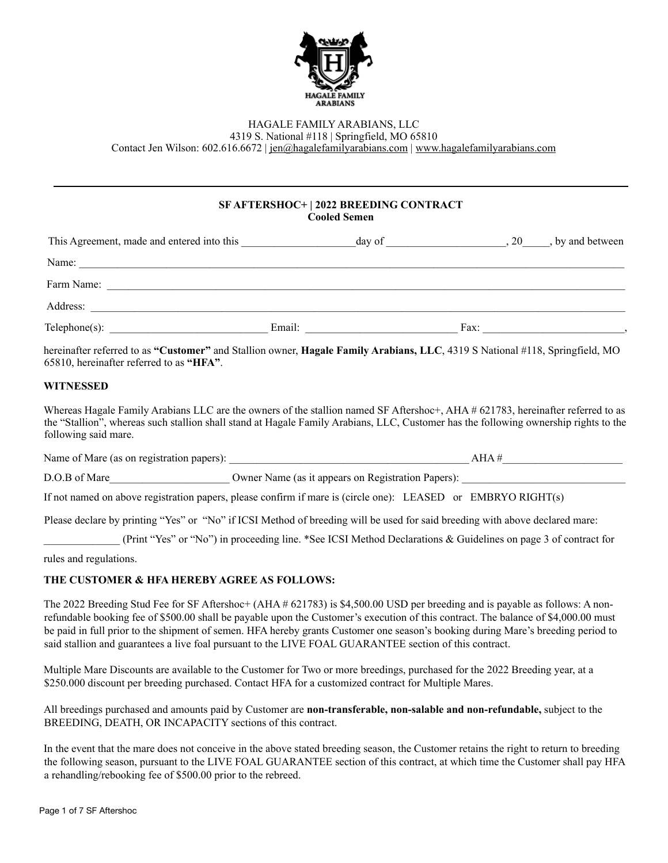

## HAGALE FAMILY ARABIANS, LLC

4319 S. National #118 | Springfield, MO 65810

Contact Jen Wilson: 602.616.6672 | [jen@hagalefamilyarabians.com](mailto:jen@hagalefamilyarabians.com) | [www.hagalefamilyarabians.com](http://www.hagalefamilyarabians.com)

## **SF AFTERSHOC+ | 2022 BREEDING CONTRACT Cooled Semen**

| This Agreement, made and entered into this | day of |      | $, 20$ , by and between |
|--------------------------------------------|--------|------|-------------------------|
| Name:                                      |        |      |                         |
| Farm Name:                                 |        |      |                         |
| Address:                                   |        |      |                         |
|                                            | Email: | Fax: |                         |

hereinafter referred to as **"Customer"** and Stallion owner, **Hagale Family Arabians, LLC**, 4319 S National #118, Springfield, MO 65810, hereinafter referred to as **"HFA"**.

## **WITNESSED**

Whereas Hagale Family Arabians LLC are the owners of the stallion named SF Aftershoc+, AHA # 621783, hereinafter referred to as the "Stallion", whereas such stallion shall stand at Hagale Family Arabians, LLC, Customer has the following ownership rights to the following said mare.

Name of Mare (as on registration papers): \_\_\_\_\_\_\_\_\_\_\_\_\_\_\_\_\_\_\_\_\_\_\_\_\_\_\_\_\_\_\_\_\_\_\_\_\_\_\_\_\_\_\_\_ AHA #\_\_\_\_\_\_\_\_\_\_\_\_\_\_\_\_\_\_\_\_\_\_

D.O.B of Mare  $\qquad \qquad \text{Owner Name (as it appears on Registration Papers):}$ 

If not named on above registration papers, please confirm if mare is (circle one): LEASED or EMBRYO RIGHT(s)

Please declare by printing "Yes" or "No" if ICSI Method of breeding will be used for said breeding with above declared mare:

\_\_\_\_\_\_\_\_\_\_\_\_\_\_ (Print "Yes" or "No") in proceeding line. \*See ICSI Method Declarations & Guidelines on page 3 of contract for

rules and regulations.

### **THE CUSTOMER & HFA HEREBY AGREE AS FOLLOWS:**

The 2022 Breeding Stud Fee for SF Aftershoc+ (AHA # 621783) is \$4,500.00 USD per breeding and is payable as follows: A nonrefundable booking fee of \$500.00 shall be payable upon the Customer's execution of this contract. The balance of \$4,000.00 must be paid in full prior to the shipment of semen. HFA hereby grants Customer one season's booking during Mare's breeding period to said stallion and guarantees a live foal pursuant to the LIVE FOAL GUARANTEE section of this contract.

Multiple Mare Discounts are available to the Customer for Two or more breedings, purchased for the 2022 Breeding year, at a \$250.000 discount per breeding purchased. Contact HFA for a customized contract for Multiple Mares.

All breedings purchased and amounts paid by Customer are **non-transferable, non-salable and non-refundable,** subject to the BREEDING, DEATH, OR INCAPACITY sections of this contract.

In the event that the mare does not conceive in the above stated breeding season, the Customer retains the right to return to breeding the following season, pursuant to the LIVE FOAL GUARANTEE section of this contract, at which time the Customer shall pay HFA a rehandling/rebooking fee of \$500.00 prior to the rebreed.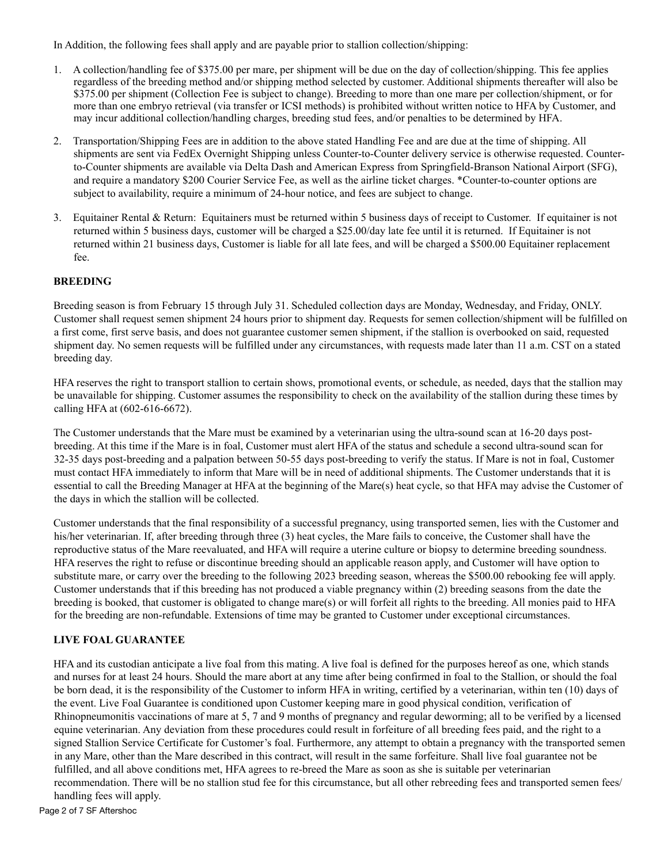In Addition, the following fees shall apply and are payable prior to stallion collection/shipping:

- 1. A collection/handling fee of \$375.00 per mare, per shipment will be due on the day of collection/shipping. This fee applies regardless of the breeding method and/or shipping method selected by customer. Additional shipments thereafter will also be \$375.00 per shipment (Collection Fee is subject to change). Breeding to more than one mare per collection/shipment, or for more than one embryo retrieval (via transfer or ICSI methods) is prohibited without written notice to HFA by Customer, and may incur additional collection/handling charges, breeding stud fees, and/or penalties to be determined by HFA.
- 2. Transportation/Shipping Fees are in addition to the above stated Handling Fee and are due at the time of shipping. All shipments are sent via FedEx Overnight Shipping unless Counter-to-Counter delivery service is otherwise requested. Counterto-Counter shipments are available via Delta Dash and American Express from Springfield-Branson National Airport (SFG), and require a mandatory \$200 Courier Service Fee, as well as the airline ticket charges. \*Counter-to-counter options are subject to availability, require a minimum of 24-hour notice, and fees are subject to change.
- 3. Equitainer Rental & Return: Equitainers must be returned within 5 business days of receipt to Customer. If equitainer is not returned within 5 business days, customer will be charged a \$25.00/day late fee until it is returned. If Equitainer is not returned within 21 business days, Customer is liable for all late fees, and will be charged a \$500.00 Equitainer replacement fee.

### **BREEDING**

Breeding season is from February 15 through July 31. Scheduled collection days are Monday, Wednesday, and Friday, ONLY. Customer shall request semen shipment 24 hours prior to shipment day. Requests for semen collection/shipment will be fulfilled on a first come, first serve basis, and does not guarantee customer semen shipment, if the stallion is overbooked on said, requested shipment day. No semen requests will be fulfilled under any circumstances, with requests made later than 11 a.m. CST on a stated breeding day.

HFA reserves the right to transport stallion to certain shows, promotional events, or schedule, as needed, days that the stallion may be unavailable for shipping. Customer assumes the responsibility to check on the availability of the stallion during these times by calling HFA at (602-616-6672).

The Customer understands that the Mare must be examined by a veterinarian using the ultra-sound scan at 16-20 days postbreeding. At this time if the Mare is in foal, Customer must alert HFA of the status and schedule a second ultra-sound scan for 32-35 days post-breeding and a palpation between 50-55 days post-breeding to verify the status. If Mare is not in foal, Customer must contact HFA immediately to inform that Mare will be in need of additional shipments. The Customer understands that it is essential to call the Breeding Manager at HFA at the beginning of the Mare(s) heat cycle, so that HFA may advise the Customer of the days in which the stallion will be collected.

Customer understands that the final responsibility of a successful pregnancy, using transported semen, lies with the Customer and his/her veterinarian. If, after breeding through three (3) heat cycles, the Mare fails to conceive, the Customer shall have the reproductive status of the Mare reevaluated, and HFA will require a uterine culture or biopsy to determine breeding soundness. HFA reserves the right to refuse or discontinue breeding should an applicable reason apply, and Customer will have option to substitute mare, or carry over the breeding to the following 2023 breeding season, whereas the \$500.00 rebooking fee will apply. Customer understands that if this breeding has not produced a viable pregnancy within (2) breeding seasons from the date the breeding is booked, that customer is obligated to change mare(s) or will forfeit all rights to the breeding. All monies paid to HFA for the breeding are non-refundable. Extensions of time may be granted to Customer under exceptional circumstances.

### **LIVE FOAL GUARANTEE**

HFA and its custodian anticipate a live foal from this mating. A live foal is defined for the purposes hereof as one, which stands and nurses for at least 24 hours. Should the mare abort at any time after being confirmed in foal to the Stallion, or should the foal be born dead, it is the responsibility of the Customer to inform HFA in writing, certified by a veterinarian, within ten (10) days of the event. Live Foal Guarantee is conditioned upon Customer keeping mare in good physical condition, verification of Rhinopneumonitis vaccinations of mare at 5, 7 and 9 months of pregnancy and regular deworming; all to be verified by a licensed equine veterinarian. Any deviation from these procedures could result in forfeiture of all breeding fees paid, and the right to a signed Stallion Service Certificate for Customer's foal. Furthermore, any attempt to obtain a pregnancy with the transported semen in any Mare, other than the Mare described in this contract, will result in the same forfeiture. Shall live foal guarantee not be fulfilled, and all above conditions met, HFA agrees to re-breed the Mare as soon as she is suitable per veterinarian recommendation. There will be no stallion stud fee for this circumstance, but all other rebreeding fees and transported semen fees/ handling fees will apply.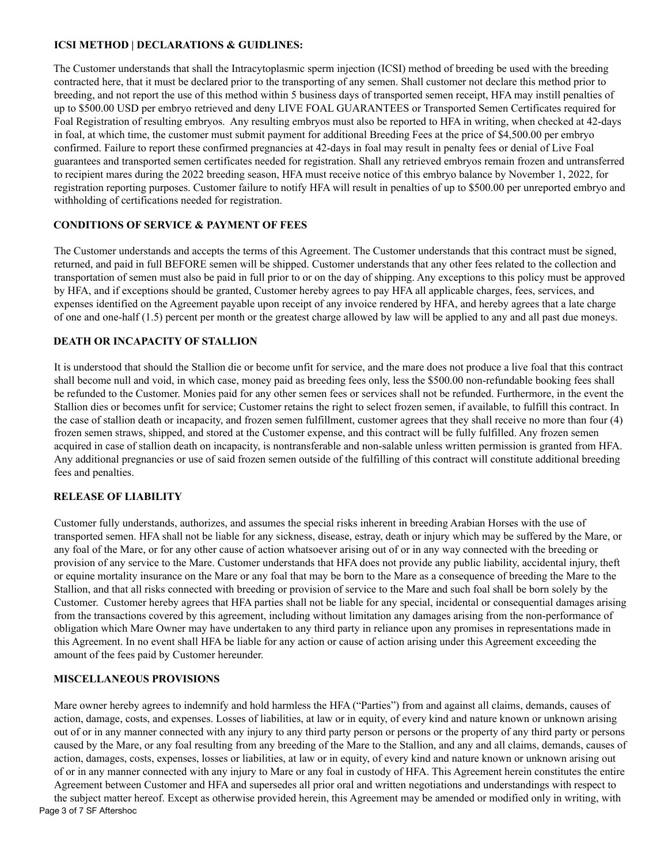### **ICSI METHOD | DECLARATIONS & GUIDLINES:**

The Customer understands that shall the Intracytoplasmic sperm injection (ICSI) method of breeding be used with the breeding contracted here, that it must be declared prior to the transporting of any semen. Shall customer not declare this method prior to breeding, and not report the use of this method within 5 business days of transported semen receipt, HFA may instill penalties of up to \$500.00 USD per embryo retrieved and deny LIVE FOAL GUARANTEES or Transported Semen Certificates required for Foal Registration of resulting embryos. Any resulting embryos must also be reported to HFA in writing, when checked at 42-days in foal, at which time, the customer must submit payment for additional Breeding Fees at the price of \$4,500.00 per embryo confirmed. Failure to report these confirmed pregnancies at 42-days in foal may result in penalty fees or denial of Live Foal guarantees and transported semen certificates needed for registration. Shall any retrieved embryos remain frozen and untransferred to recipient mares during the 2022 breeding season, HFA must receive notice of this embryo balance by November 1, 2022, for registration reporting purposes. Customer failure to notify HFA will result in penalties of up to \$500.00 per unreported embryo and withholding of certifications needed for registration.

## **CONDITIONS OF SERVICE & PAYMENT OF FEES**

The Customer understands and accepts the terms of this Agreement. The Customer understands that this contract must be signed, returned, and paid in full BEFORE semen will be shipped. Customer understands that any other fees related to the collection and transportation of semen must also be paid in full prior to or on the day of shipping. Any exceptions to this policy must be approved by HFA, and if exceptions should be granted, Customer hereby agrees to pay HFA all applicable charges, fees, services, and expenses identified on the Agreement payable upon receipt of any invoice rendered by HFA, and hereby agrees that a late charge of one and one-half (1.5) percent per month or the greatest charge allowed by law will be applied to any and all past due moneys.

## **DEATH OR INCAPACITY OF STALLION**

It is understood that should the Stallion die or become unfit for service, and the mare does not produce a live foal that this contract shall become null and void, in which case, money paid as breeding fees only, less the \$500.00 non-refundable booking fees shall be refunded to the Customer. Monies paid for any other semen fees or services shall not be refunded. Furthermore, in the event the Stallion dies or becomes unfit for service; Customer retains the right to select frozen semen, if available, to fulfill this contract. In the case of stallion death or incapacity, and frozen semen fulfillment, customer agrees that they shall receive no more than four (4) frozen semen straws, shipped, and stored at the Customer expense, and this contract will be fully fulfilled. Any frozen semen acquired in case of stallion death on incapacity, is nontransferable and non-salable unless written permission is granted from HFA. Any additional pregnancies or use of said frozen semen outside of the fulfilling of this contract will constitute additional breeding fees and penalties.

## **RELEASE OF LIABILITY**

Customer fully understands, authorizes, and assumes the special risks inherent in breeding Arabian Horses with the use of transported semen. HFA shall not be liable for any sickness, disease, estray, death or injury which may be suffered by the Mare, or any foal of the Mare, or for any other cause of action whatsoever arising out of or in any way connected with the breeding or provision of any service to the Mare. Customer understands that HFA does not provide any public liability, accidental injury, theft or equine mortality insurance on the Mare or any foal that may be born to the Mare as a consequence of breeding the Mare to the Stallion, and that all risks connected with breeding or provision of service to the Mare and such foal shall be born solely by the Customer. Customer hereby agrees that HFA parties shall not be liable for any special, incidental or consequential damages arising from the transactions covered by this agreement, including without limitation any damages arising from the non-performance of obligation which Mare Owner may have undertaken to any third party in reliance upon any promises in representations made in this Agreement. In no event shall HFA be liable for any action or cause of action arising under this Agreement exceeding the amount of the fees paid by Customer hereunder.

## **MISCELLANEOUS PROVISIONS**

Mare owner hereby agrees to indemnify and hold harmless the HFA ("Parties") from and against all claims, demands, causes of action, damage, costs, and expenses. Losses of liabilities, at law or in equity, of every kind and nature known or unknown arising out of or in any manner connected with any injury to any third party person or persons or the property of any third party or persons caused by the Mare, or any foal resulting from any breeding of the Mare to the Stallion, and any and all claims, demands, causes of action, damages, costs, expenses, losses or liabilities, at law or in equity, of every kind and nature known or unknown arising out of or in any manner connected with any injury to Mare or any foal in custody of HFA. This Agreement herein constitutes the entire Agreement between Customer and HFA and supersedes all prior oral and written negotiations and understandings with respect to the subject matter hereof. Except as otherwise provided herein, this Agreement may be amended or modified only in writing, with Page 3 of 7 SF Aftershoc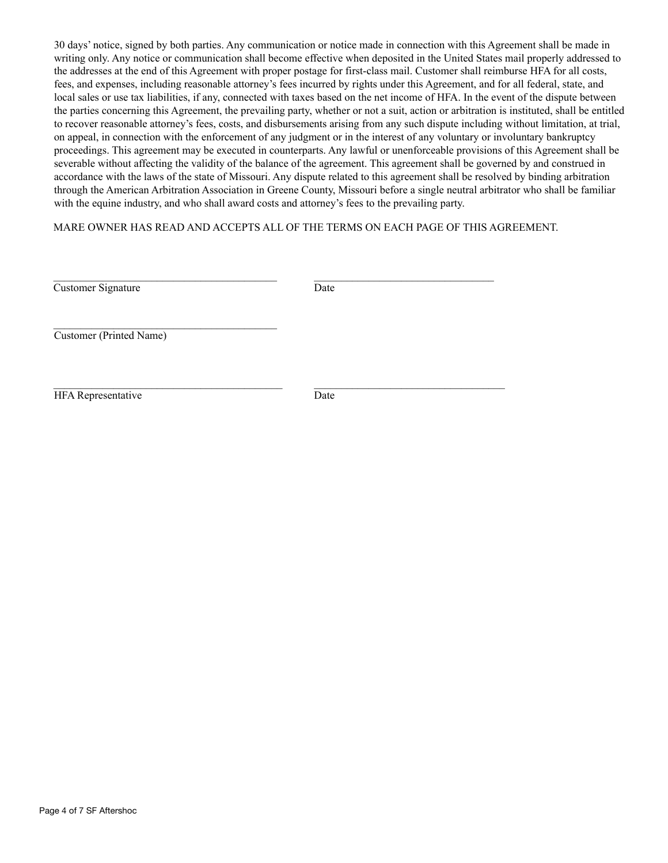30 days' notice, signed by both parties. Any communication or notice made in connection with this Agreement shall be made in writing only. Any notice or communication shall become effective when deposited in the United States mail properly addressed to the addresses at the end of this Agreement with proper postage for first-class mail. Customer shall reimburse HFA for all costs, fees, and expenses, including reasonable attorney's fees incurred by rights under this Agreement, and for all federal, state, and local sales or use tax liabilities, if any, connected with taxes based on the net income of HFA. In the event of the dispute between the parties concerning this Agreement, the prevailing party, whether or not a suit, action or arbitration is instituted, shall be entitled to recover reasonable attorney's fees, costs, and disbursements arising from any such dispute including without limitation, at trial, on appeal, in connection with the enforcement of any judgment or in the interest of any voluntary or involuntary bankruptcy proceedings. This agreement may be executed in counterparts. Any lawful or unenforceable provisions of this Agreement shall be severable without affecting the validity of the balance of the agreement. This agreement shall be governed by and construed in accordance with the laws of the state of Missouri. Any dispute related to this agreement shall be resolved by binding arbitration through the American Arbitration Association in Greene County, Missouri before a single neutral arbitrator who shall be familiar with the equine industry, and who shall award costs and attorney's fees to the prevailing party.

MARE OWNER HAS READ AND ACCEPTS ALL OF THE TERMS ON EACH PAGE OF THIS AGREEMENT.

| Customer Signature        | Date |  |
|---------------------------|------|--|
| Customer (Printed Name)   |      |  |
| <b>HFA</b> Representative | Date |  |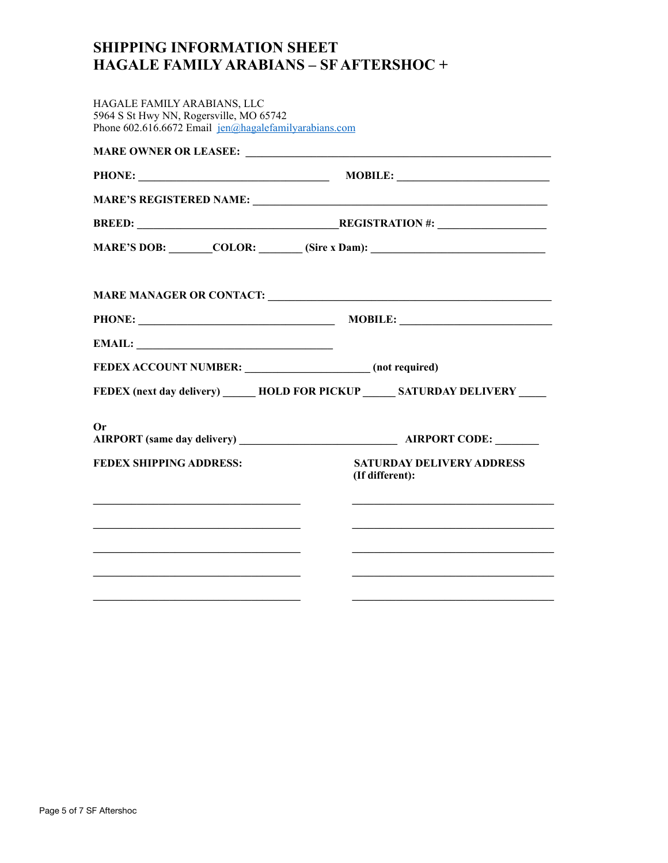# **SHIPPING INFORMATION SHEET HAGALE FAMILY ARABIANS – SF AFTERSHOC +**

| HAGALE FAMILY ARABIANS, LLC<br>5964 S St Hwy NN, Rogersville, MO 65742<br>Phone 602.616.6672 Email $jen(\alpha)$ hagalefamilyarabians.com |                                                                                   |
|-------------------------------------------------------------------------------------------------------------------------------------------|-----------------------------------------------------------------------------------|
|                                                                                                                                           |                                                                                   |
|                                                                                                                                           |                                                                                   |
|                                                                                                                                           |                                                                                   |
|                                                                                                                                           | BREED: REGISTRATION #:                                                            |
|                                                                                                                                           | MARE'S DOB: _______COLOR: _______ (Sire x Dam): _________________________________ |
|                                                                                                                                           |                                                                                   |
|                                                                                                                                           |                                                                                   |
| EMAIL:                                                                                                                                    |                                                                                   |
| FEDEX ACCOUNT NUMBER: _________________________ (not required)                                                                            |                                                                                   |
|                                                                                                                                           | FEDEX (next day delivery) _______ HOLD FOR PICKUP _______ SATURDAY DELIVERY _____ |
| Or                                                                                                                                        |                                                                                   |
| <b>FEDEX SHIPPING ADDRESS:</b>                                                                                                            | <b>SATURDAY DELIVERY ADDRESS</b><br>(If different):                               |
|                                                                                                                                           |                                                                                   |
|                                                                                                                                           |                                                                                   |
|                                                                                                                                           |                                                                                   |
|                                                                                                                                           |                                                                                   |
|                                                                                                                                           |                                                                                   |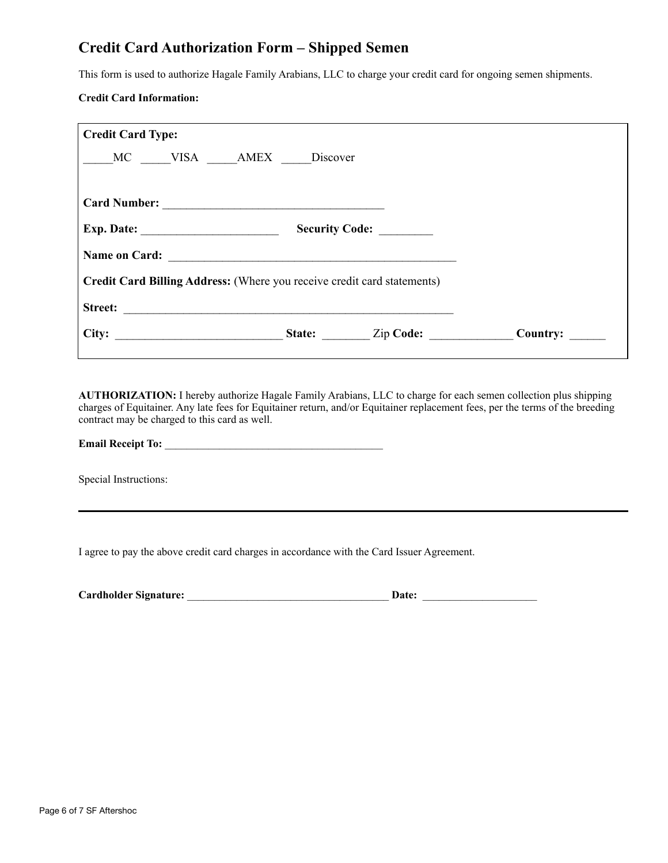## **Credit Card Authorization Form – Shipped Semen**

This form is used to authorize Hagale Family Arabians, LLC to charge your credit card for ongoing semen shipments.

### **Credit Card Information:**

| <b>Credit Card Type:</b>                                                |          |
|-------------------------------------------------------------------------|----------|
| MC VISA AMEX Discover                                                   |          |
|                                                                         |          |
|                                                                         |          |
| Exp. Date: $\_\_$<br>Security Code:                                     |          |
| Name on Card:                                                           |          |
| Credit Card Billing Address: (Where you receive credit card statements) |          |
| <b>Street:</b>                                                          |          |
| City:<br>State: Zip Code:<br><u> 1989 - Johann Barbara, martin a</u>    | Country: |

**AUTHORIZATION:** I hereby authorize Hagale Family Arabians, LLC to charge for each semen collection plus shipping charges of Equitainer. Any late fees for Equitainer return, and/or Equitainer replacement fees, per the terms of the breeding contract may be charged to this card as well.

## **Email Receipt To:** \_\_\_\_\_\_\_\_\_\_\_\_\_\_\_\_\_\_\_\_\_\_\_\_\_\_\_\_\_\_\_\_\_\_\_\_\_\_\_\_

Special Instructions:

I agree to pay the above credit card charges in accordance with the Card Issuer Agreement.

| <b>Cardholder Signature:</b> | Date: |  |
|------------------------------|-------|--|
|                              |       |  |